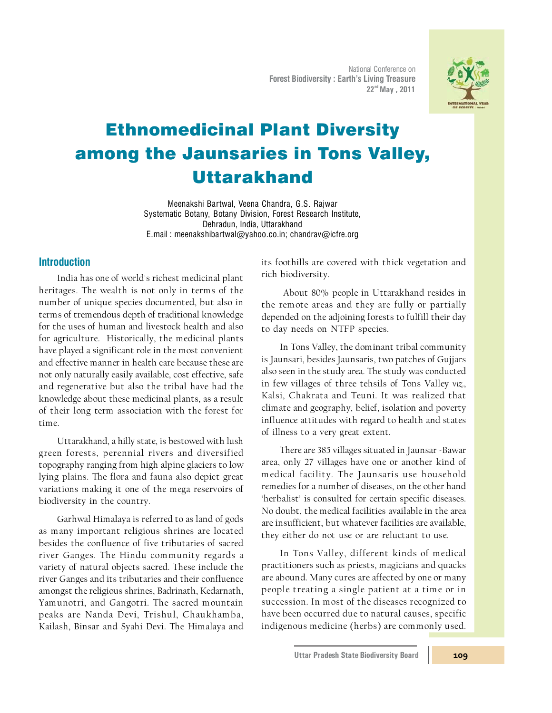National Conference on **Forest Biodiversity : Earth's Living Treasure**  $22<sup>nd</sup>$  May, 2011



# Ethnomedicinal Plant Diversity among the Jaunsaries in Tons Valley, Uttarakhand

Meenakshi Bartwal, Veena Chandra, G.S. Rajwar Systematic Botany, Botany Division, Forest Research Institute, Dehradun, India, Uttarakhand E.mail : meenakshibartwal@yahoo.co.in; chandrav@icfre.org

## **Introduction**

India has one of world's richest medicinal plant heritages. The wealth is not only in terms of the number of unique species documented, but also in terms of tremendous depth of traditional knowledge for the uses of human and livestock health and also for agriculture. Historically, the medicinal plants have played a significant role in the most convenient and effective manner in health care because these are not only naturally easily available, cost effective, safe and regenerative but also the tribal have had the knowledge about these medicinal plants, as a result of their long term association with the forest for time.

Uttarakhand, a hilly state, is bestowed with lush green forests, perennial rivers and diversified topography ranging from high alpine glaciers to low lying plains. The flora and fauna also depict great variations making it one of the mega reservoirs of biodiversity in the country.

Garhwal Himalaya is referred to as land of gods as m any important religious shrines are located besides the confluence of five tributaries of sacred river Ganges. The Hindu community regards a variety of natural objects sacred. These include the river Ganges and its tributaries and their confluence amongst the religious shrines, Badrinath, Kedarnath, Yam unotri, and Gangotri. The sacred m ountain peaks are Nanda Devi, Trishul, Chaukham ba, Kailash, Binsar and Syahi Devi. The Himalaya and

its foothills are covered with thick vegetation and rich biodiversity.

 About 80% people in Uttarakhand resides in the rem ote areas and they are fully or partially depended on the adjoining forests to fulfill their day to day needs on NTFP species.

In Tons Valley, the dominant tribal community is Jaunsari, besides Jaunsaris, two patches of Gujjars also seen in the study area. The study was conducted in few villages of three tehsils of Tons Valley *viz.*, Kalsi, Chakrata and Teuni. It was realized that climate and geography, belief, isolation and poverty influence attitudes with regard to health and states of illness to a very great extent.

There are 385 villages situated in Jaunsar -Bawar area, only 27 villages have one or another kind of m edical facility. The Jaunsaris use household remedies for a number of diseases, on the other hand 'herbalist' is consulted for certain specific diseases. No doubt, the medical facilities available in the area are insufficient, but whatever facilities are available, they either do not use or are reluctant to use.

In Tons Valley, different kinds of medical practitioners such as priests, magicians and quacks are abound. Many cures are affected by one or many people treating a single patient at a time or in succession. In m ost of the diseases recognized to have been occurred due to natural causes, specific indigenous medicine (herbs) are com monly used.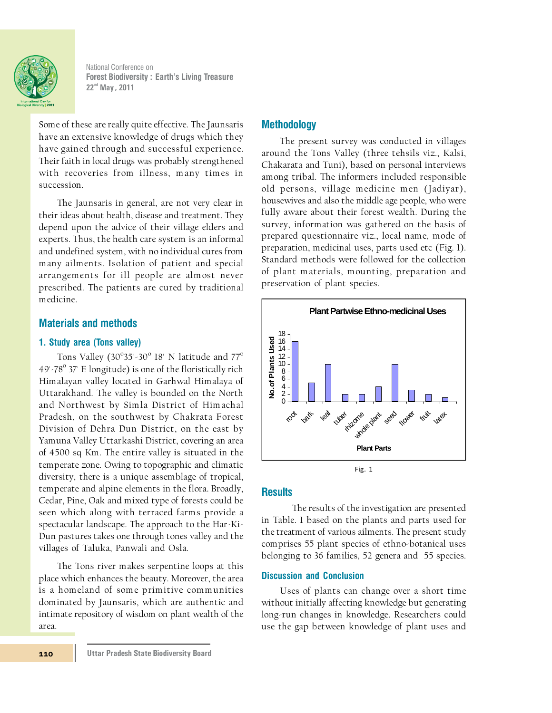

National Conference on **Forest Biodiversity: Earth's Living Treasure 22 , 2011 nd May** 

Some of these are really quite effective. The Jaunsaris have an extensive knowledge of drugs which they have gained through and successful experience. Their faith in local drugs was probably strengthened with recoveries from illness, many times in succession.

The Jaunsaris in general, are not very clear in their ideas about health, disease and treatment. They depend upon the advice of their village elders and experts. Thus, the health care system is an informal and undefined system, with no individual cures from many ailments. Isolation of patient and special arrangements for ill people are alm ost never prescribed. The patients are cured by traditional medicine.

# **Materials and methods**

#### **1. Study area (Tons valley)**

Tons Valley (30 $\degree$ 35'-30 $\degree$  18' N latitude and 77 $\degree$ 49'-78° 37' E longitude) is one of the floristically rich Himalayan valley located in Garhwal Himalaya of Uttarakhand. The valley is bounded on the North and Northwest by Simla District of Himachal Pradesh, on the southwest by Chakrata Forest Division of Dehra Dun District, on the east by Yamuna Valley Uttarkashi District, covering an area of 4500 sq Km. The entire valley is situated in the temperate zone. Owing to topographic and climatic diversity, there is a unique assemblage of tropical, temperate and alpine elements in the flora. Broadly, Cedar, Pine, Oak and mixed type of forests could be seen which along with terraced farms provide a spectacular landscape. The approach to the Har-Ki-Dun pastures takes one through tones valley and the villages of Taluka, Panwali and Osla.

The Tons river makes serpentine loops at this place which enhances the beauty. Moreover, the area is a homeland of some primitive communities dominated by Jaunsaris, which are authentic and intimate repository of wisdom on plant wealth of the area.

#### **Methodology**

The present survey was conducted in villages around the Tons Valley (three tehsils viz., Kalsi, Chakarata and Tuni), based on personal interviews among tribal. The informers included responsible old persons, village medicine men (Jadiyar), housewives and also the middle age people, who were fully aware about their forest wealth. During the survey, information was gathered on the basis of prepared questionnaire viz., local name, mode of preparation, medicinal uses, parts used etc (Fig. 1). Standard methods were followed for the collection of plant m aterials, mounting, preparation and preservation of plant species.



#### **Results**

The results of the investigation are presented in Table. 1 based on the plants and parts used for the treatment of various ailments. The present study comprises 55 plant species of ethno-botanical uses belonging to 36 families, 52 genera and 55 species.

#### **Discussion and Conclusion**

Uses of plants can change over a short time without initially affecting knowledge but generating long-run changes in knowledge. Researchers could use the gap between knowledge of plant uses and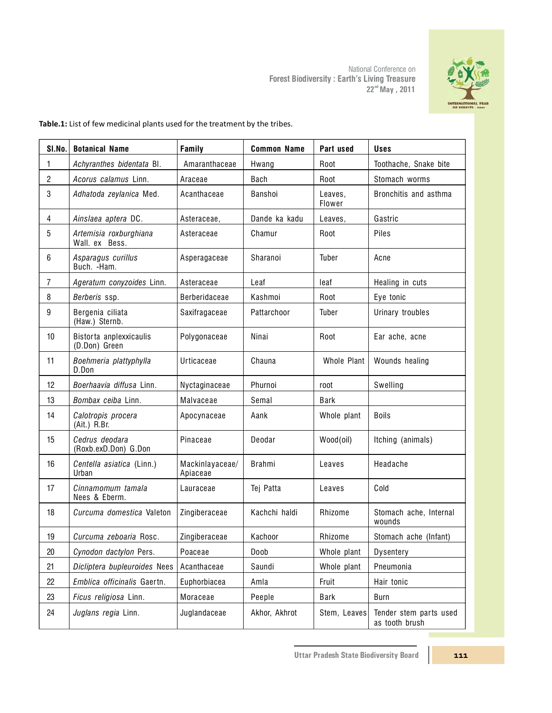National Conference on **Forest Biodiversity : Earth's Living Treasure 22 May , 2011 nd**

| SI.No.         | <b>Botanical Name</b>                    | Family                      | <b>Common Name</b> | Part used         | <b>Uses</b>                              |
|----------------|------------------------------------------|-----------------------------|--------------------|-------------------|------------------------------------------|
| 1              | Achyranthes bidentata Bl.                | Amaranthaceae               | Hwang              | Root              | Toothache, Snake bite                    |
| $\sqrt{2}$     | Acorus calamus Linn.                     | Araceae                     | Bach               | Root              | Stomach worms                            |
| 3              | Adhatoda zeylanica Med.                  | Acanthaceae                 | Banshoi            | Leaves,<br>Flower | Bronchitis and asthma                    |
| $\overline{4}$ | Ainslaea aptera DC.                      | Asteraceae,                 | Dande ka kadu      | Leaves,           | Gastric                                  |
| 5              | Artemisia roxburghiana<br>Wall, ex Bess. | Asteraceae                  | Chamur             | Root              | Piles                                    |
| 6              | Asparagus curillus<br>Buch. - Ham.       | Asperagaceae                | Sharanoi           | Tuber             | Acne                                     |
| 7              | Ageratum conyzoides Linn.                | Asteraceae                  | Leaf               | leaf              | Healing in cuts                          |
| 8              | Berberis ssp.                            | <b>Berberidaceae</b>        | Kashmoi            | Root              | Eye tonic                                |
| 9              | Bergenia ciliata<br>(Haw.) Sternb.       | Saxifragaceae               | Pattarchoor        | Tuber             | <b>Urinary troubles</b>                  |
| 10             | Bistorta anplexxicaulis<br>(D.Don) Green | Polygonaceae                | Ninai              | Root              | Ear ache, acne                           |
| 11             | Boehmeria plattyphylla<br>D.Don          | Urticaceae                  | Chauna             | Whole Plant       | Wounds healing                           |
| 12             | Boerhaavia diffusa Linn.                 | Nyctaginaceae               | Phurnoi            | root              | Swelling                                 |
| 13             | Bombax ceiba Linn.                       | Malvaceae                   | Semal              | <b>Bark</b>       |                                          |
| 14             | Calotropis procera<br>(Ait.) R.Br.       | Apocynaceae                 | Aank               | Whole plant       | <b>Boils</b>                             |
| 15             | Cedrus deodara<br>(Roxb.exD.Don) G.Don   | Pinaceae                    | Deodar             | Wood(oil)         | Itching (animals)                        |
| 16             | Centella asiatica (Linn.)<br>Urban       | Mackinlayaceae/<br>Apiaceae | <b>Brahmi</b>      | Leaves            | Headache                                 |
| 17             | Cinnamomum tamala<br>Nees & Eberm.       | Lauraceae                   | Tej Patta          | Leaves            | Cold                                     |
| 18             | Curcuma domestica Valeton                | Zingiberaceae               | Kachchi haldi      | Rhizome           | Stomach ache, Internal<br>wounds         |
| 19             | Curcuma zeboaria Rosc.                   | Zingiberaceae               | Kachoor            | Rhizome           | Stomach ache (Infant)                    |
| 20             | Cynodon dactylon Pers.                   | Poaceae                     | Doob               | Whole plant       | Dysentery                                |
| 21             | Dicliptera bupleuroides Nees             | Acanthaceae                 | Saundi             | Whole plant       | Pneumonia                                |
| 22             | Emblica officinalis Gaertn.              | Euphorbiacea                | Amla               | Fruit             | Hair tonic                               |
| 23             | Ficus religiosa Linn.                    | Moraceae                    | Peeple             | Bark              | Burn                                     |
| 24             | Juglans regia Linn.                      | Juglandaceae                | Akhor, Akhrot      | Stem, Leaves      | Tender stem parts used<br>as tooth brush |

**Table.1:** List of few medicinal plants used for the treatment by the tribes.

**Uttar Pradesh State Biodiversity Board**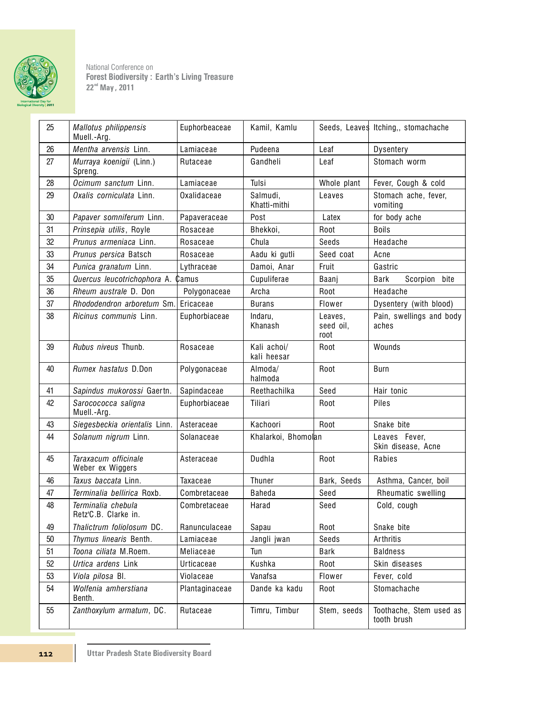

National Conference on **Forest Biodiversity: Earth's Living Treasure 22 , 2011 nd May** 

| 25 | Mallotus philippensis<br>Muell.-Arg.       | Euphorbeaceae  | Kamil, Kamlu               |                              | Seeds, Leaves Itching,, stomachache    |
|----|--------------------------------------------|----------------|----------------------------|------------------------------|----------------------------------------|
| 26 | Mentha arvensis Linn.                      | Lamiaceae      | Pudeena                    | Leaf                         | Dysentery                              |
| 27 | Murraya koenigii (Linn.)<br>Spreng.        | Rutaceae       | Gandheli                   | Leaf                         | Stomach worm                           |
| 28 | Ocimum sanctum Linn.                       | Lamiaceae      | Tulsi                      | Whole plant                  | Fever, Cough & cold                    |
| 29 | Oxalis corniculata Linn.                   | Oxalidaceae    | Salmudi,<br>Khatti-mithi   | Leaves                       | Stomach ache, fever,<br>vomiting       |
| 30 | Papaver somniferum Linn.                   | Papaveraceae   | Post                       | Latex                        | for body ache                          |
| 31 | Prinsepia utilis, Royle                    | Rosaceae       | Bhekkoi,                   | Root                         | <b>Boils</b>                           |
| 32 | Prunus armeniaca Linn.                     | Rosaceae       | Chula                      | Seeds                        | Headache                               |
| 33 | Prunus persica Batsch                      | Rosaceae       | Aadu ki gutli              | Seed coat                    | Acne                                   |
| 34 | Punica granatum Linn.                      | Lythraceae     | Damoi, Anar                | Fruit                        | Gastric                                |
| 35 | Quercus leucotrichophora A.                | Camus          | Cupuliferae                | Baanj                        | Bark<br>bite<br>Scorpion               |
| 36 | Rheum australe D. Don                      | Polygonaceae   | Archa                      | Root                         | Headache                               |
| 37 | Rhododendron arboretum Sm.                 | Ericaceae      | <b>Burans</b>              | Flower                       | Dysentery (with blood)                 |
| 38 | <i>Ricinus communis</i> Linn.              | Euphorbiaceae  | Indaru,<br>Khanash         | Leaves.<br>seed oil,<br>root | Pain, swellings and body<br>aches      |
| 39 | <b>Rubus niveus Thunb.</b>                 | Rosaceae       | Kali achoi/<br>kali heesar | Root                         | Wounds                                 |
| 40 | Rumex hastatus D.Don                       | Polygonaceae   | Almoda/<br>halmoda         | Root                         | Burn                                   |
| 41 | Sapindus mukorossi Gaertn.                 | Sapindaceae    | Reethachilka               | Seed                         | Hair tonic                             |
| 42 | Sarocococca saligna<br>Muell.-Arg.         | Euphorbiaceae  | Tiliari                    | Root                         | Piles                                  |
| 43 | Siegesbeckia orientalis Linn.              | Asteraceae     | Kachoori                   | Root                         | Snake bite                             |
| 44 | Solanum nigrum Linn.                       | Solanaceae     | Khalarkoi, Bhomolan        |                              | Leaves Fever,<br>Skin disease, Acne    |
| 45 | Taraxacum officinale<br>Weber ex Wiggers   | Asteraceae     | Dudhla                     | Root                         | Rabies                                 |
| 46 | Taxus baccata Linn.                        | Taxaceae       | Thuner                     | Bark, Seeds                  | Asthma, Cancer, boil                   |
| 47 | Terminalia bellirica Roxb.                 | Combretaceae   | <b>Baheda</b>              | Seed                         | Rheumatic swelling                     |
| 48 | Terminalia chebula<br>Retz'C.B. Clarke in. | Combretaceae   | Harad                      | Seed                         | Cold, cough                            |
| 49 | Thalictrum foliolosum DC.                  | Ranunculaceae  | Sapau                      | Root                         | Snake bite                             |
| 50 | Thymus linearis Benth.                     | Lamiaceae      | Jangli jwan                | Seeds                        | Arthritis                              |
| 51 | Toona ciliata M.Roem.                      | Meliaceae      | Tun                        | Bark                         | <b>Baldness</b>                        |
| 52 | Urtica ardens Link                         | Urticaceae     | Kushka                     | Root                         | Skin diseases                          |
| 53 | Viola pilosa Bl.                           | Violaceae      | Vanafsa                    | Flower                       | Fever, cold                            |
| 54 | Wolfenia amherstiana<br>Benth.             | Plantaginaceae | Dande ka kadu              | Root                         | Stomachache                            |
| 55 | Zanthoxylum armatum, DC.                   | Rutaceae       | Timru, Timbur              | Stem, seeds                  | Toothache, Stem used as<br>tooth brush |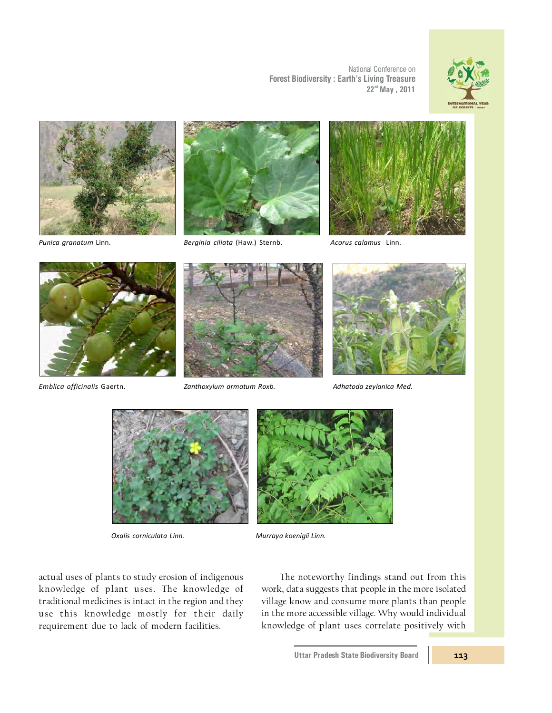

*Punica granatum* Linn. *Berginia ciliata* (Haw.) Sternb. *Acorus calamus* Linn.



National Conference on

 $22<sup>nd</sup>$  May, 2011

**Forest Biodiversity : Earth's Living Treasure**





*Emblica officinalis* Gaertn. *Zanthoxylum armatum Roxb. Adhatoda zeylanica Med.*







*Oxalis corniculata Linn. Murraya koenigii Linn.*

actual uses of plants to study erosion of indigenous knowledge of plant uses. The knowledge of traditional medicines is intact in the region and they use this knowledge mostly for their daily requirement due to lack of modern facilities.

The noteworthy findings stand out from this work, data suggests that people in the more isolated village know and consume more plants than people in the more accessible village. Why would individual knowledge of plant uses correlate positively with